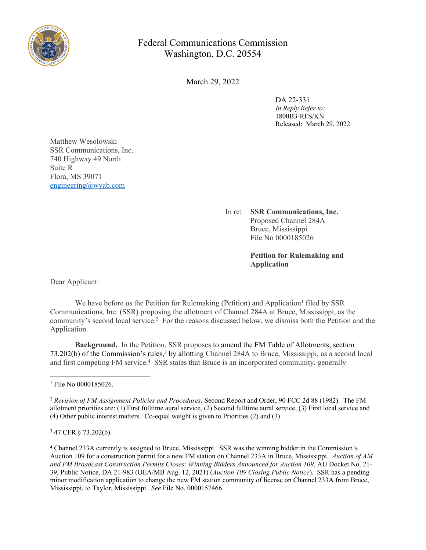

## Federal Communications Commission Washington, D.C. 20554

March 29, 2022

DA 22-331 *In Reply Refer to:* 1800B3-RFS/KN Released: March 29, 2022

Matthew Wesolowski SSR Communications, Inc. 740 Highway 49 North Suite R Flora, MS 39071 [engineering@wyab.com](mailto:engineering@wyab.com)

> In re: **SSR Communications, Inc.** Proposed Channel 284A Bruce, Mississippi File No 0000185026

> > **Petition for Rulemaking and Application**

Dear Applicant:

We have before us the Petition for Rulemaking (Petition) and Application<sup>1</sup> filed by SSR Communications, Inc. (SSR) proposing the allotment of Channel 284A at Bruce, Mississippi, as the community's second local service.<sup>2</sup> For the reasons discussed below, we dismiss both the Petition and the Application.

**Background.** In the Petition, SSR proposes to amend the FM Table of Allotments, section 73.202(b) of the Commission's rules,<sup>3</sup> by allotting Channel 284A to Bruce, Mississippi, as a second local and first competing FM service.<sup>4</sup> SSR states that Bruce is an incorporated community, generally

3 47 CFR § 73.202(b).

<sup>1</sup> File No 0000185026.

<sup>2</sup> *Revision of FM Assignment Policies and Procedures,* Second Report and Order, 90 FCC 2d 88 (1982). The FM allotment priorities are: (1) First fulltime aural service, (2) Second fulltime aural service, (3) First local service and (4) Other public interest matters. Co-equal weight is given to Priorities (2) and (3).

<sup>4</sup> Channel 233A currently is assigned to Bruce, Mississippi. SSR was the winning bidder in the Commission's Auction 109 for a construction permit for a new FM station on Channel 233A in Bruce, Mississippi. *Auction of AM and FM Broadcast Construction Permits Closes; Winning Bidders Announced for Auction 109*, AU Docket No. 21- 39, Public Notice, DA 21-983 (OEA/MB Aug. 12, 2021) (*Auction 109 Closing Public Notice*). SSR has a pending minor modification application to change the new FM station community of license on Channel 233A from Bruce, Mississippi, to Taylor, Mississippi. *See* File No. 0000157466.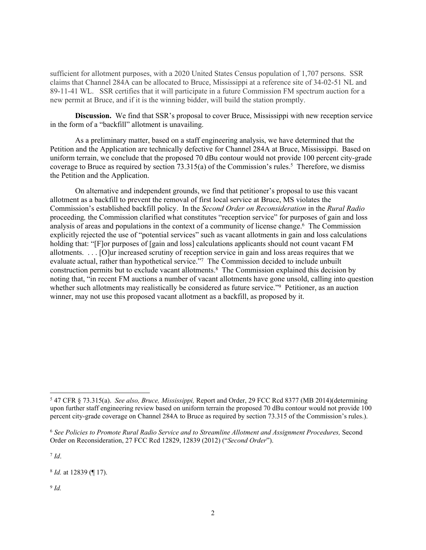sufficient for allotment purposes, with a 2020 United States Census population of 1,707 persons. SSR claims that Channel 284A can be allocated to Bruce, Mississippi at a reference site of 34-02-51 NL and 89-11-41 WL. SSR certifies that it will participate in a future Commission FM spectrum auction for a new permit at Bruce, and if it is the winning bidder, will build the station promptly.

**Discussion.** We find that SSR's proposal to cover Bruce, Mississippi with new reception service in the form of a "backfill" allotment is unavailing.

As a preliminary matter, based on a staff engineering analysis, we have determined that the Petition and the Application are technically defective for Channel 284A at Bruce, Mississippi. Based on uniform terrain, we conclude that the proposed 70 dBu contour would not provide 100 percent city-grade coverage to Bruce as required by section  $73.315(a)$  of the Commission's rules.<sup>5</sup> Therefore, we dismiss the Petition and the Application.

On alternative and independent grounds, we find that petitioner's proposal to use this vacant allotment as a backfill to prevent the removal of first local service at Bruce, MS violates the Commission's established backfill policy. In the *Second Order on Reconsideration* in the *Rural Radio*  proceeding*,* the Commission clarified what constitutes "reception service" for purposes of gain and loss analysis of areas and populations in the context of a community of license change.<sup>6</sup> The Commission explicitly rejected the use of "potential services" such as vacant allotments in gain and loss calculations holding that: "[F]or purposes of [gain and loss] calculations applicants should not count vacant FM allotments. . . . [O]ur increased scrutiny of reception service in gain and loss areas requires that we evaluate actual, rather than hypothetical service."<sup>7</sup> The Commission decided to include unbuilt construction permits but to exclude vacant allotments.<sup>8</sup> The Commission explained this decision by noting that, "in recent FM auctions a number of vacant allotments have gone unsold, calling into question whether such allotments may realistically be considered as future service."<sup>9</sup> Petitioner, as an auction winner, may not use this proposed vacant allotment as a backfill, as proposed by it.

7 *Id*.

9 *Id.*

<sup>5</sup> 47 CFR § 73.315(a). *See also, Bruce, Mississippi,* Report and Order, 29 FCC Rcd 8377 (MB 2014)(determining upon further staff engineering review based on uniform terrain the proposed 70 dBu contour would not provide 100 percent city-grade coverage on Channel 284A to Bruce as required by section 73.315 of the Commission's rules.).

<sup>6</sup> *See Policies to Promote Rural Radio Service and to Streamline Allotment and Assignment Procedures,* Second Order on Reconsideration, 27 FCC Rcd 12829, 12839 (2012) ("*Second Order*").

<sup>8</sup> *Id.* at 12839 (¶ 17).